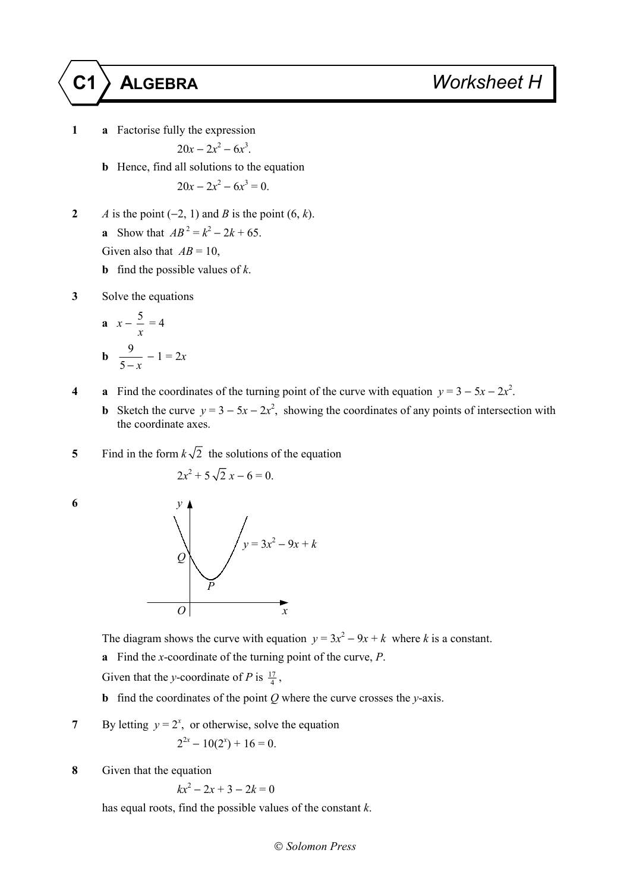**1 a** Factorise fully the expression

$$
20x - 2x^2 - 6x^3.
$$

**b** Hence, find all solutions to the equation

$$
20x - 2x^2 - 6x^3 = 0.
$$

**2** *A* is the point  $(-2, 1)$  and *B* is the point  $(6, k)$ . **a** Show that  $AB^2 = k^2 - 2k + 65$ .

Given also that  $AB = 10$ ,

- **b** find the possible values of *k*.
- **3** Solve the equations

**a** 
$$
x - \frac{5}{x} = 4
$$
  
**b**  $\frac{9}{5 - x} - 1 = 2x$ 

- **4 a** Find the coordinates of the turning point of the curve with equation  $y = 3 5x 2x^2$ .
	- **b** Sketch the curve  $y = 3 5x 2x^2$ , showing the coordinates of any points of intersection with the coordinate axes.
- **5** Find in the form  $k\sqrt{2}$  the solutions of the equation

$$
2x^2 + 5\sqrt{2} x - 6 = 0.
$$



The diagram shows the curve with equation  $y = 3x^2 - 9x + k$  where *k* is a constant.

**a** Find the *x*-coordinate of the turning point of the curve, *P*.

Given that the *y*-coordinate of *P* is  $\frac{17}{4}$ ,

- **b** find the coordinates of the point *Q* where the curve crosses the *y*-axis.
- **7** By letting  $y = 2^x$ , or otherwise, solve the equation  $2^{2x} - 10(2^x) + 16 = 0.$
- **8** Given that the equation

$$
kx^2 - 2x + 3 - 2k = 0
$$

has equal roots, find the possible values of the constant *k*.